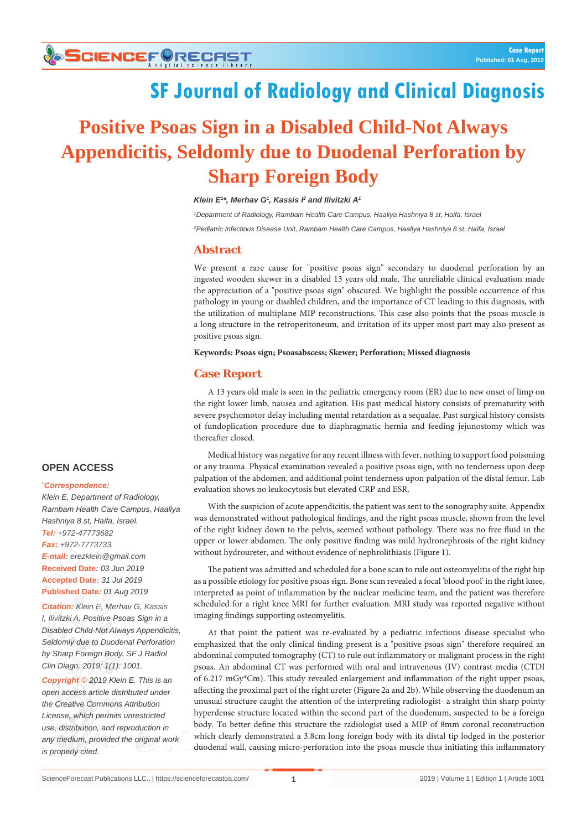# **SF Journal of Radiology and Clinical Diagnosis**

# **Positive Psoas Sign in a Disabled Child-Not Always Appendicitis, Seldomly due to Duodenal Perforation by Sharp Foreign Body**

#### *Klein E1 \*, Merhav G1 , Kassis I2 and Ilivitzki A1*

*1 Department of Radiology, Rambam Health Care Campus, Haaliya Hashniya 8 st, Haifa, Israel 2 Pediatric Infectious Disease Unit, Rambam Health Care Campus, Haaliya Hashniya 8 st, Haifa, Israel*

# **Abstract**

We present a rare cause for "positive psoas sign" secondary to duodenal perforation by an ingested wooden skewer in a disabled 13 years old male. The unreliable clinical evaluation made the appreciation of a "positive psoas sign" obscured. We highlight the possible occurrence of this pathology in young or disabled children, and the importance of CT leading to this diagnosis, with the utilization of multiplane MIP reconstructions. This case also points that the psoas muscle is a long structure in the retroperitoneum, and irritation of its upper most part may also present as positive psoas sign.

#### **Keywords: Psoas sign; Psoasabscess; Skewer; Perforation; Missed diagnosis**

### **Case Report**

A 13 years old male is seen in the pediatric emergency room (ER) due to new onset of limp on the right lower limb, nausea and agitation. His past medical history consists of prematurity with severe psychomotor delay including mental retardation as a sequalae. Past surgical history consists of fundoplication procedure due to diaphragmatic hernia and feeding jejunostomy which was thereafter closed.

Medical history was negative for any recent illness with fever, nothing to support food poisoning or any trauma. Physical examination revealed a positive psoas sign, with no tenderness upon deep palpation of the abdomen, and additional point tenderness upon palpation of the distal femur. Lab evaluation shows no leukocytosis but elevated CRP and ESR.

With the suspicion of acute appendicitis, the patient was sent to the sonography suite. Appendix was demonstrated without pathological findings, and the right psoas muscle, shown from the level of the right kidney down to the pelvis, seemed without pathology. There was no free fluid in the upper or lower abdomen. The only positive finding was mild hydronephrosis of the right kidney without hydroureter, and without evidence of nephrolithiasis (Figure 1).

The patient was admitted and scheduled for a bone scan to rule out osteomyelitis of the right hip as a possible etiology for positive psoas sign. Bone scan revealed a focal 'blood pool' in the right knee, interpreted as point of inflammation by the nuclear medicine team, and the patient was therefore scheduled for a right knee MRI for further evaluation. MRI study was reported negative without imaging findings supporting osteomyelitis.

At that point the patient was re-evaluated by a pediatric infectious disease specialist who emphasized that the only clinical finding present is a "positive psoas sign" therefore required an abdominal computed tomography (CT) to rule out inflammatory or malignant process in the right psoas. An abdominal CT was performed with oral and intravenous (IV) contrast media (CTDI of 6.217 mGy\*Cm). This study revealed enlargement and inflammation of the right upper psoas, affecting the proximal part of the right ureter (Figure 2a and 2b). While observing the duodenum an unusual structure caught the attention of the interpreting radiologist- a straight thin sharp pointy hyperdense structure located within the second part of the duodenum, suspected to be a foreign body. To better define this structure the radiologist used a MIP of 8mm coronal reconstruction which clearly demonstrated a 3.8cm long foreign body with its distal tip lodged in the posterior duodenal wall, causing micro-perforation into the psoas muscle thus initiating this inflammatory

# **OPEN ACCESS**

#### **\*** *Correspondence:*

*Klein E, Department of Radiology, Rambam Health Care Campus, Haaliya Hashniya 8 st, Haifa, Israel. Tel: +972-47773682 Fax: +972-7773733 E-mail: erezklein@gmail.com* **Received Date***: 03 Jun 2019* **Accepted Date***: 31 Jul 2019* **Published Date***: 01 Aug 2019*

*Citation: Klein E, Merhav G, Kassis I, Ilivitzki A. Positive Psoas Sign in a Disabled Child-Not Always Appendicitis, Seldomly due to Duodenal Perforation by Sharp Foreign Body. SF J Radiol Clin Diagn. 2019; 1(1): 1001.*

*Copyright © 2019 Klein E. This is an open access article distributed under the Creative Commons Attribution License, which permits unrestricted use, distribution, and reproduction in any medium, provided the original work is properly cited.*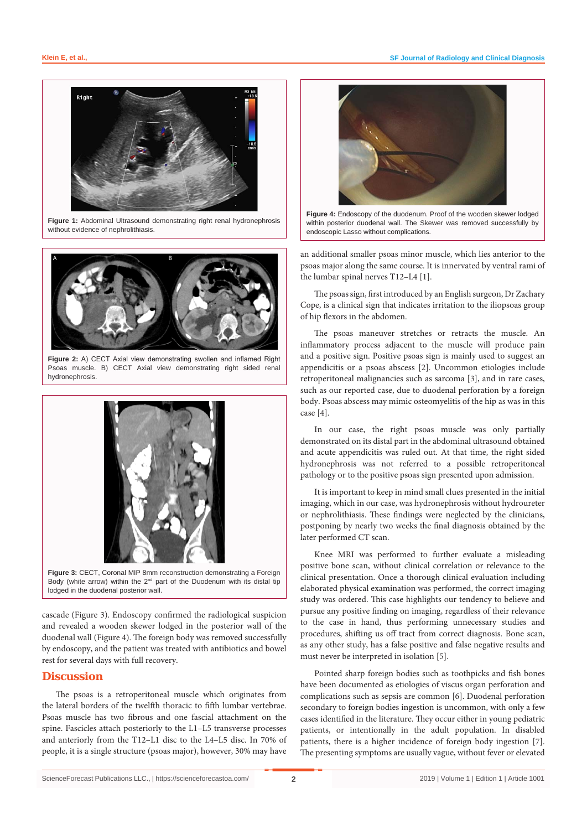

**Figure 1:** Abdominal Ultrasound demonstrating right renal hydronephrosis without evidence of nephrolithiasis.



**Figure 2:** A) CECT Axial view demonstrating swollen and inflamed Right Psoas muscle. B) CECT Axial view demonstrating right sided renal hydronephrosis.



**Figure 3:** CECT, Coronal MIP 8mm reconstruction demonstrating a Foreign Body (white arrow) within the  $2^{nd}$  part of the Duodenum with its distal tip lodged in the duodenal posterior wall.

cascade (Figure 3). Endoscopy confirmed the radiological suspicion and revealed a wooden skewer lodged in the posterior wall of the duodenal wall (Figure 4). The foreign body was removed successfully by endoscopy, and the patient was treated with antibiotics and bowel rest for several days with full recovery.

#### **Discussion**

The psoas is a retroperitoneal muscle which originates from the lateral borders of the twelfth thoracic to fifth lumbar vertebrae. Psoas muscle has two fibrous and one fascial attachment on the spine. Fascicles attach posteriorly to the L1–L5 transverse processes and anteriorly from the T12–L1 disc to the L4–L5 disc. In 70% of people, it is a single structure (psoas major), however, 30% may have



**Figure 4:** Endoscopy of the duodenum. Proof of the wooden skewer lodged within posterior duodenal wall. The Skewer was removed successfully by endoscopic Lasso without complications.

an additional smaller psoas minor muscle, which lies anterior to the psoas major along the same course. It is innervated by ventral rami of the lumbar spinal nerves T12–L4 [1].

The psoas sign, first introduced by an English surgeon, Dr Zachary Cope, is a clinical sign that indicates irritation to the iliopsoas group of hip flexors in the abdomen.

The psoas maneuver stretches or retracts the muscle. An inflammatory process adjacent to the muscle will produce pain and a positive sign. Positive psoas sign is mainly used to suggest an appendicitis or a psoas abscess [2]. Uncommon etiologies include retroperitoneal malignancies such as sarcoma [3], and in rare cases, such as our reported case, due to duodenal perforation by a foreign body. Psoas abscess may mimic osteomyelitis of the hip as was in this case [4].

In our case, the right psoas muscle was only partially demonstrated on its distal part in the abdominal ultrasound obtained and acute appendicitis was ruled out. At that time, the right sided hydronephrosis was not referred to a possible retroperitoneal pathology or to the positive psoas sign presented upon admission.

It is important to keep in mind small clues presented in the initial imaging, which in our case, was hydronephrosis without hydroureter or nephrolithiasis. These findings were neglected by the clinicians, postponing by nearly two weeks the final diagnosis obtained by the later performed CT scan.

Knee MRI was performed to further evaluate a misleading positive bone scan, without clinical correlation or relevance to the clinical presentation. Once a thorough clinical evaluation including elaborated physical examination was performed, the correct imaging study was ordered. This case highlights our tendency to believe and pursue any positive finding on imaging, regardless of their relevance to the case in hand, thus performing unnecessary studies and procedures, shifting us off tract from correct diagnosis. Bone scan, as any other study, has a false positive and false negative results and must never be interpreted in isolation [5].

Pointed sharp foreign bodies such as toothpicks and fish bones have been documented as etiologies of viscus organ perforation and complications such as sepsis are common [6]. Duodenal perforation secondary to foreign bodies ingestion is uncommon, with only a few cases identified in the literature. They occur either in young pediatric patients, or intentionally in the adult population. In disabled patients, there is a higher incidence of foreign body ingestion [7]. The presenting symptoms are usually vague, without fever or elevated